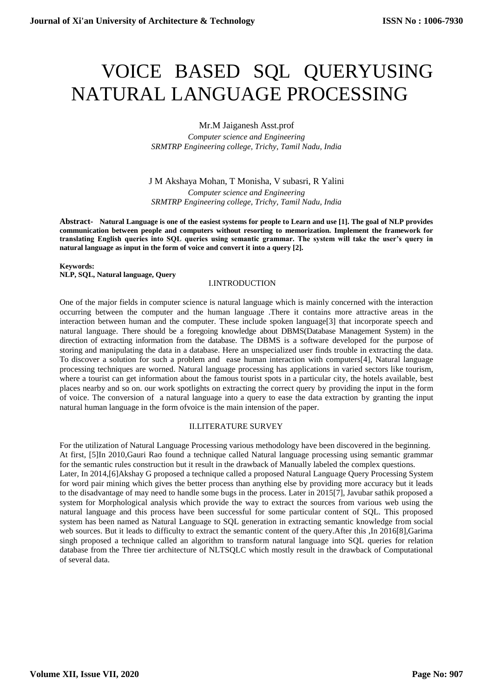# VOICE BASED SQL QUERYUSING NATURAL LANGUAGE PROCESSING

Mr.M Jaiganesh Asst.prof

*Computer science and Engineering SRMTRP Engineering college, Trichy, Tamil Nadu, India*

J M Akshaya Mohan, T Monisha, V subasri, R Yalini *Computer science and Engineering SRMTRP Engineering college, Trichy, Tamil Nadu, India*

**Abstract- Natural Language is one of the easiest systems for people to Learn and use [1]. The goal of NLP provides communication between people and computers without resorting to memorization. Implement the framework for translating English queries into SQL queries using semantic grammar. The system will take the user's query in natural language as input in the form of voice and convert it into a query [2].**

#### **Keywords: NLP, SQL, Natural language, Query**

#### I.INTRODUCTION

One of the major fields in computer science is natural language which is mainly concerned with the interaction occurring between the computer and the human language .There it contains more attractive areas in the interaction between human and the computer. These include spoken language[3] that incorporate speech and natural language. There should be a foregoing knowledge about DBMS(Database Management System) in the direction of extracting information from the database. The DBMS is a software developed for the purpose of storing and manipulating the data in a database. Here an unspecialized user finds trouble in extracting the data. To discover a solution for such a problem and ease human interaction with computers[4], Natural language processing techniques are worned. Natural language processing has applications in varied sectors like tourism, where a tourist can get information about the famous tourist spots in a particular city, the hotels available, best places nearby and so on. our work spotlights on extracting the correct query by providing the input in the form of voice. The conversion of a natural language into a query to ease the data extraction by granting the input natural human language in the form ofvoice is the main intension of the paper.

## II.LITERATURE SURVEY

For the utilization of Natural Language Processing various methodology have been discovered in the beginning. At first, [5]In 2010,Gauri Rao found a technique called Natural language processing using semantic grammar for the semantic rules construction but it result in the drawback of Manually labeled the complex questions. Later, In 2014,[6]Akshay G proposed a technique called a proposed Natural Language Query Processing System for word pair mining which gives the better process than anything else by providing more accuracy but it leads to the disadvantage of may need to handle some bugs in the process. Later in 2015[7], Javubar sathik proposed a system for Morphological analysis which provide the way to extract the sources from various web using the natural language and this process have been successful for some particular content of SQL. This proposed system has been named as Natural Language to SQL generation in extracting semantic knowledge from social web sources. But it leads to difficulty to extract the semantic content of the query.After this ,In 2016[8],Garima singh proposed a technique called an algorithm to transform natural language into SQL queries for relation database from the Three tier architecture of NLTSQLC which mostly result in the drawback of Computational of several data.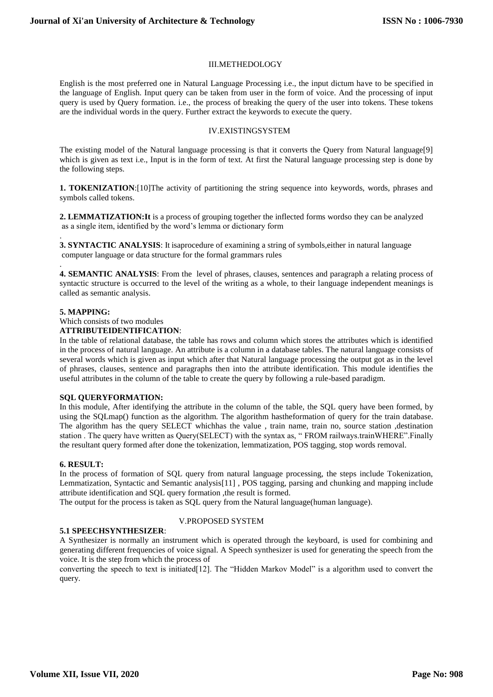## III.METHEDOLOGY

English is the most preferred one in Natural Language Processing i.e., the input dictum have to be specified in the language of English. Input query can be taken from user in the form of voice. And the processing of input query is used by Query formation. i.e., the process of breaking the query of the user into tokens. These tokens are the individual words in the query. Further extract the keywords to execute the query.

# IV.EXISTINGSYSTEM

The existing model of the Natural language processing is that it converts the Query from Natural language[9] which is given as text i.e., Input is in the form of text. At first the Natural language processing step is done by the following steps.

**1. TOKENIZATION**:[10]The activity of partitioning the string sequence into keywords, words, phrases and symbols called tokens.

**2. LEMMATIZATION:It** is a process of grouping together the inflected forms wordso they can be analyzed as a single item, identified by the word's lemma or dictionary form

**3. SYNTACTIC ANALYSIS**: It isaprocedure of examining a string of symbols,either in natural language computer language or data structure for the formal grammars rules

. **4. SEMANTIC ANALYSIS**: From the level of phrases, clauses, sentences and paragraph a relating process of syntactic structure is occurred to the level of the writing as a whole, to their language independent meanings is called as semantic analysis.

## **5. MAPPING:**

.

Which consists of two modules

#### **ATTRIBUTEIDENTIFICATION**:

In the table of relational database, the table has rows and column which stores the attributes which is identified in the process of natural language. An attribute is a column in a database tables. The natural language consists of several words which is given as input which after that Natural language processing the output got as in the level of phrases, clauses, sentence and paragraphs then into the attribute identification. This module identifies the useful attributes in the column of the table to create the query by following a rule-based paradigm.

#### **SQL QUERYFORMATION:**

In this module, After identifying the attribute in the column of the table, the SQL query have been formed, by using the SQLmap() function as the algorithm. The algorithm hastheformation of query for the train database. The algorithm has the query SELECT whichhas the value , train name, train no, source station ,destination station . The query have written as Query(SELECT) with the syntax as, " FROM railways.trainWHERE".Finally the resultant query formed after done the tokenization, lemmatization, POS tagging, stop words removal.

#### **6. RESULT:**

In the process of formation of SQL query from natural language processing, the steps include Tokenization, Lemmatization, Syntactic and Semantic analysis[11] , POS tagging, parsing and chunking and mapping include attribute identification and SQL query formation ,the result is formed.

The output for the process is taken as SQL query from the Natural language(human language).

# V.PROPOSED SYSTEM

## **5.1 SPEECHSYNTHESIZER**:

A Synthesizer is normally an instrument which is operated through the keyboard, is used for combining and generating different frequencies of voice signal. A Speech synthesizer is used for generating the speech from the voice. It is the step from which the process of

converting the speech to text is initiated[12]. The "Hidden Markov Model" is a algorithm used to convert the query.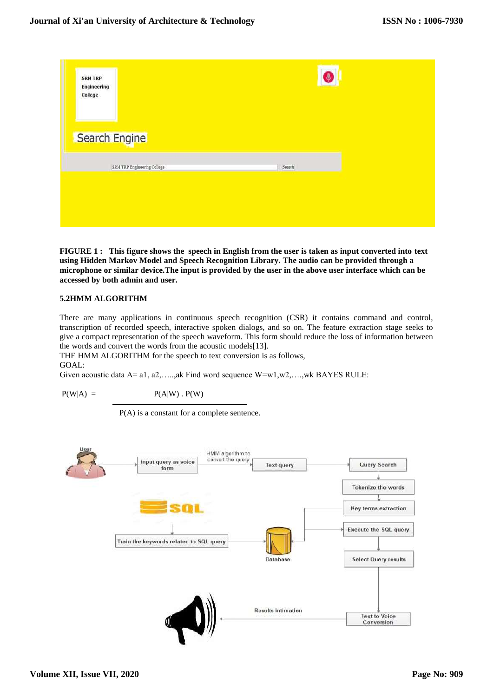| <b>SRM TRP</b><br><b>Engineering</b><br>College | $\bullet$ |
|-------------------------------------------------|-----------|
| Search Engine                                   |           |
| SRM TRP Engineering College                     | Search    |
|                                                 |           |
|                                                 |           |

**FIGURE 1 : This figure shows the speech in English from the user is taken as input converted into text using Hidden Markov Model and Speech Recognition Library. The audio can be provided through a microphone or similar device.The input is provided by the user in the above user interface which can be accessed by both admin and user.**

# **5.2HMM ALGORITHM**

There are many applications in continuous speech recognition (CSR) it contains command and control, transcription of recorded speech, interactive spoken dialogs, and so on. The feature extraction stage seeks to give a compact representation of the speech waveform. This form should reduce the loss of information between the words and convert the words from the acoustic models[13].

THE HMM ALGORITHM for the speech to text conversion is as follows, GOAL:

Given acoustic data A= a1, a2,…..,ak Find word sequence W=w1,w2,….,wk BAYES RULE:

 $P(W|A) = P(A|W) \cdot P(W)$ 

P(A) is a constant for a complete sentence.

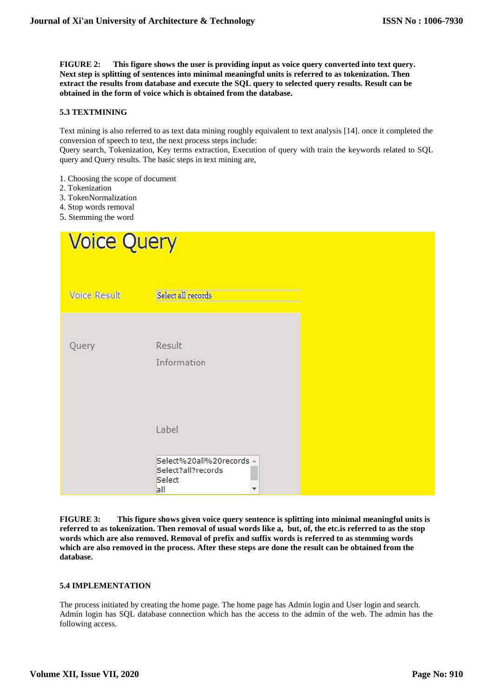**FIGURE 2: This figure shows the user is providing input as voice query converted into text query. Next step is splitting of sentences into minimal meaningful units is referred to as tokenization. Then extract the results from database and execute the SQL query to selected query results. Result can be obtained in the form of voice which is obtained from the database.**

# **5.3 TEXTMINING**

Text mining is also referred to as text data mining roughly equivalent to text analysis [14]. once it completed the conversion of speech to text, the next process steps include:

Query search, Tokenization, Key terms extraction, Execution of query with train the keywords related to SQL query and Query results. The basic steps in text mining are,

- 1. Choosing the scope of document
- 2. Tokenization
- 3. TokenNormalization
- 4. Stop words removal
- 5. Stemming the word

| <b>Voice Query</b>  |                                                                 |  |
|---------------------|-----------------------------------------------------------------|--|
| <b>Voice Result</b> | Select all records                                              |  |
| Query               | Result<br>Information                                           |  |
|                     | Label                                                           |  |
|                     | Select%20all%20records -<br>Select?all?records<br>Select<br>all |  |

**FIGURE 3: This figure shows given voice query sentence is splitting into minimal meaningful units is referred to as tokenization. Then removal of usual words like a, but, of, the etc.is referred to as the stop words which are also removed. Removal of prefix and suffix words is referred to as stemming words which are also removed in the process. After these steps are done the result can be obtained from the database.**

# **5.4 IMPLEMENTATION**

The process initiated by creating the home page. The home page has Admin login and User login and search. Admin login has SQL database connection which has the access to the admin of the web. The admin has the following access.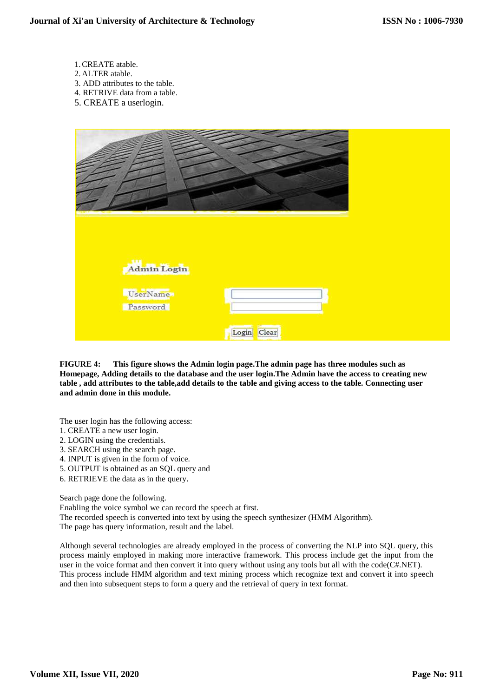- 1.CREATE atable.
- 2. ALTER atable.
- 3. ADD attributes to the table.
- 4. RETRIVE data from a table.
- 5. CREATE a userlogin.



**FIGURE 4: This figure shows the Admin login page.The admin page has three modules such as Homepage, Adding details to the database and the user login.The Admin have the access to creating new table , add attributes to the table,add details to the table and giving access to the table. Connecting user and admin done in this module.**

The user login has the following access:

- 1. CREATE a new user login.
- 2. LOGIN using the credentials.
- 3. SEARCH using the search page.
- 4. INPUT is given in the form of voice.
- 5. OUTPUT is obtained as an SQL query and
- 6. RETRIEVE the data as in the query.

Search page done the following.

Enabling the voice symbol we can record the speech at first.

The recorded speech is converted into text by using the speech synthesizer (HMM Algorithm).

The page has query information, result and the label.

Although several technologies are already employed in the process of converting the NLP into SQL query, this process mainly employed in making more interactive framework. This process include get the input from the user in the voice format and then convert it into query without using any tools but all with the code(C#.NET). This process include HMM algorithm and text mining process which recognize text and convert it into speech and then into subsequent steps to form a query and the retrieval of query in text format.